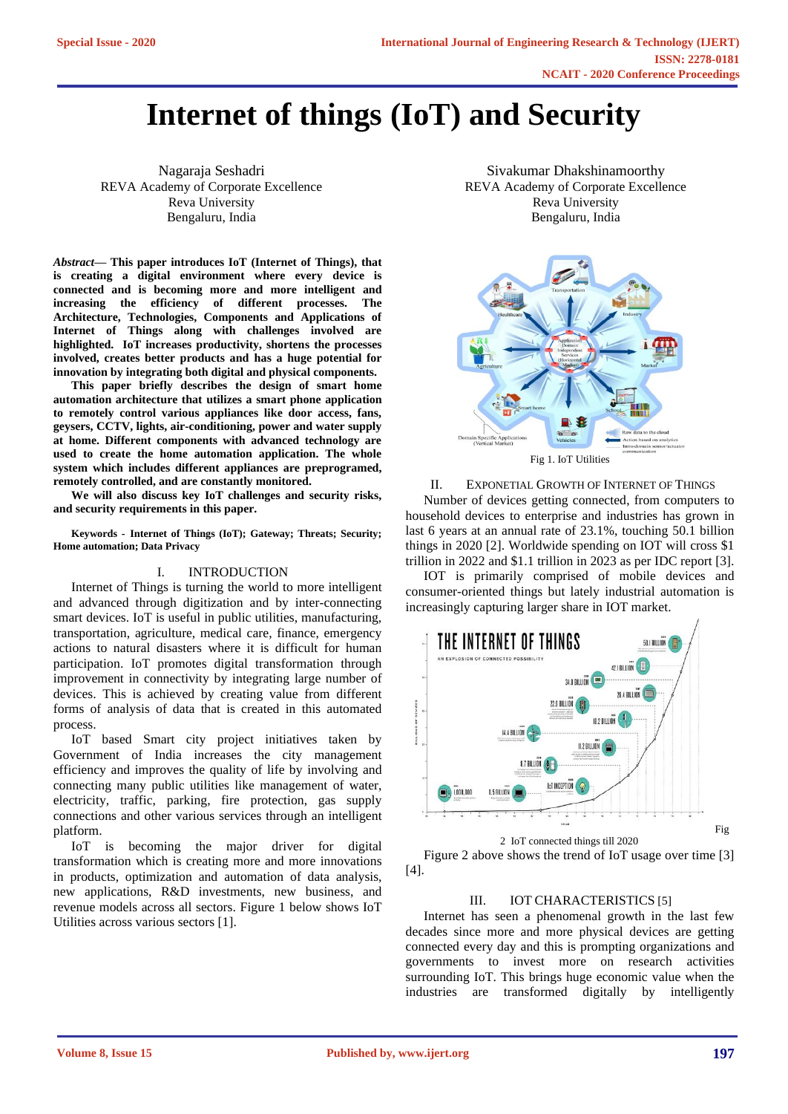# **Internet of things (IoT) and Security**

Nagaraja Seshadri REVA Academy of Corporate Excellence Reva University Bengaluru, India

*Abstract***— This paper introduces IoT (Internet of Things), that is creating a digital environment where every device is connected and is becoming more and more intelligent and increasing the efficiency of different processes. The Architecture, Technologies, Components and Applications of Internet of Things along with challenges involved are highlighted. IoT increases productivity, shortens the processes involved, creates better products and has a huge potential for innovation by integrating both digital and physical components.**

**This paper briefly describes the design of smart home automation architecture that utilizes a smart phone application to remotely control various appliances like door access, fans, geysers, CCTV, lights, air-conditioning, power and water supply at home. Different components with advanced technology are used to create the home automation application. The whole system which includes different appliances are preprogramed, remotely controlled, and are constantly monitored.**

**We will also discuss key IoT challenges and security risks, and security requirements in this paper.**

**Keywords - Internet of Things (IoT); Gateway; Threats; Security; Home automation; Data Privacy**

# I. INTRODUCTION

Internet of Things is turning the world to more intelligent and advanced through digitization and by inter-connecting smart devices. IoT is useful in public utilities, manufacturing, transportation, agriculture, medical care, finance, emergency actions to natural disasters where it is difficult for human participation. IoT promotes digital transformation through improvement in connectivity by integrating large number of devices. This is achieved by creating value from different forms of analysis of data that is created in this automated process.

IoT based Smart city project initiatives taken by Government of India increases the city management efficiency and improves the quality of life by involving and connecting many public utilities like management of water, electricity, traffic, parking, fire protection, gas supply connections and other various services through an intelligent platform.

IoT is becoming the major driver for digital transformation which is creating more and more innovations in products, optimization and automation of data analysis, new applications, R&D investments, new business, and revenue models across all sectors. Figure 1 below shows IoT Utilities across various sectors [1].

Sivakumar Dhakshinamoorthy REVA Academy of Corporate Excellence Reva University Bengaluru, India



II. EXPONETIAL GROWTH OF INTERNET OF THINGS Number of devices getting connected, from computers to household devices to enterprise and industries has grown in last 6 years at an annual rate of 23.1%, touching 50.1 billion things in 2020 [2]. Worldwide spending on IOT will cross \$1 trillion in 2022 and \$1.1 trillion in 2023 as per IDC report [3].

IOT is primarily comprised of mobile devices and consumer-oriented things but lately industrial automation is increasingly capturing larger share in IOT market.



Figure 2 above shows the trend of IoT usage over time [3] [4].

## III. IOT CHARACTERISTICS [5]

Internet has seen a phenomenal growth in the last few decades since more and more physical devices are getting connected every day and this is prompting organizations and governments to invest more on research activities surrounding IoT. This brings huge economic value when the industries are transformed digitally by intelligently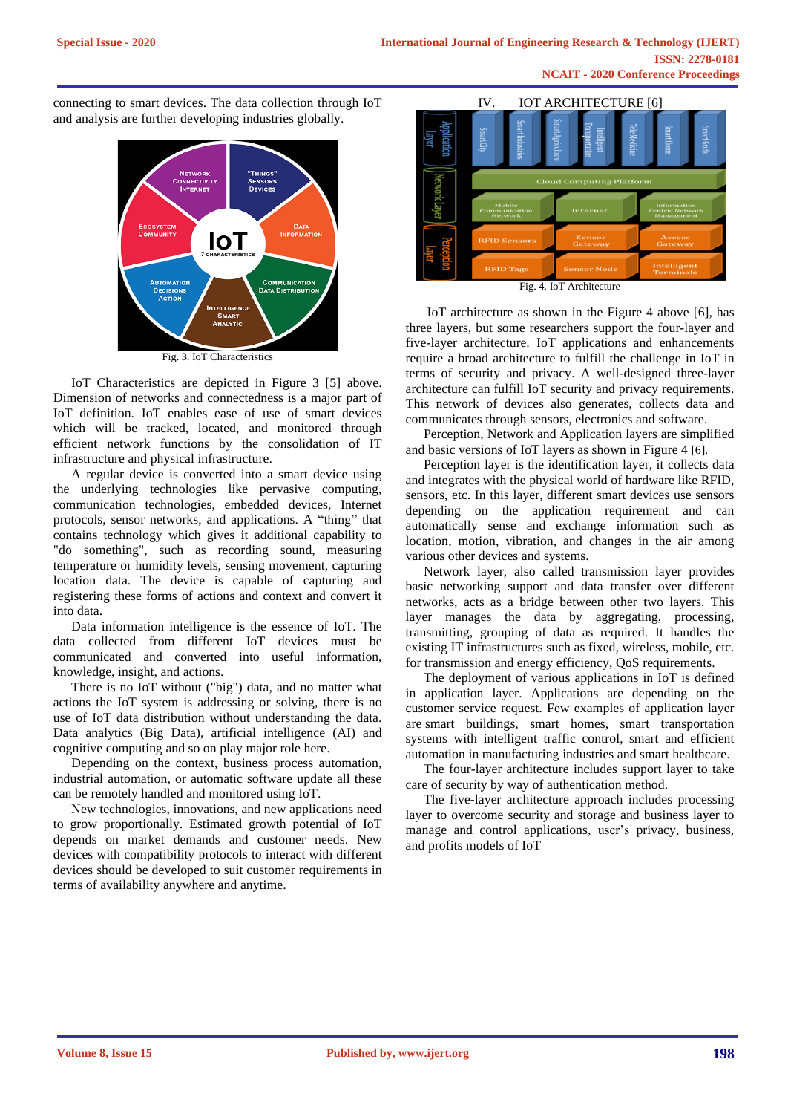connecting to smart devices. The data collection through IoT and analysis are further developing industries globally.



IoT Characteristics are depicted in Figure 3 [5] above. Dimension of networks and connectedness is a major part of IoT definition. IoT enables ease of use of smart devices which will be tracked, located, and monitored through efficient network functions by the consolidation of IT infrastructure and physical infrastructure.

A regular device is converted into a smart device using the underlying technologies like pervasive computing, communication technologies, embedded devices, Internet protocols, sensor networks, and applications. A "thing" that contains technology which gives it additional capability to "do something", such as recording sound, measuring temperature or humidity levels, sensing movement, capturing location data. The device is capable of capturing and registering these forms of actions and context and convert it into data.

Data information intelligence is the essence of IoT. The data collected from different IoT devices must be communicated and converted into useful information, knowledge, insight, and actions.

There is no IoT without ("big") data, and no matter what actions the IoT system is addressing or solving, there is no use of IoT data distribution without understanding the data. Data analytics (Big Data), artificial intelligence (AI) and cognitive computing and so on play major role here.

Depending on the context, business process automation, industrial automation, or automatic software update all these can be remotely handled and monitored using IoT.

New technologies, innovations, and new applications need to grow proportionally. Estimated growth potential of IoT depends on market demands and customer needs. New devices with compatibility protocols to interact with different devices should be developed to suit customer requirements in terms of availability anywhere and anytime.



Fig. 4. IoT Architecture

IoT architecture as shown in the Figure 4 above [6], has three layers, but some researchers support the four-layer and five-layer architecture. IoT applications and enhancements require a broad architecture to fulfill the challenge in IoT in terms of security and privacy. A well-designed three-layer architecture can fulfill IoT security and privacy requirements. This network of devices also generates, collects data and communicates through sensors, electronics and software.

Perception, Network and Application layers are simplified and basic versions of IoT layers as shown in Figure 4 [6].

Perception layer is the identification layer, it collects data and integrates with the physical world of hardware like RFID, sensors, etc. In this layer, different smart devices use sensors depending on the application requirement and can automatically sense and exchange information such as location, motion, vibration, and changes in the air among various other devices and systems.

Network layer, also called transmission layer provides basic networking support and data transfer over different networks, acts as a bridge between other two layers. This layer manages the data by aggregating, processing, transmitting, grouping of data as required. It handles the existing IT infrastructures such as fixed, wireless, mobile, etc. for transmission and energy efficiency, QoS requirements.

The deployment of various applications in IoT is defined in application layer. Applications are depending on the customer service request. Few examples of application layer are smart buildings, smart homes, smart transportation systems with intelligent traffic control, smart and efficient automation in manufacturing industries and smart healthcare.

The four-layer architecture includes support layer to take care of security by way of authentication method.

The five-layer architecture approach includes processing layer to overcome security and storage and business layer to manage and control applications, user's privacy, business, and profits models of IoT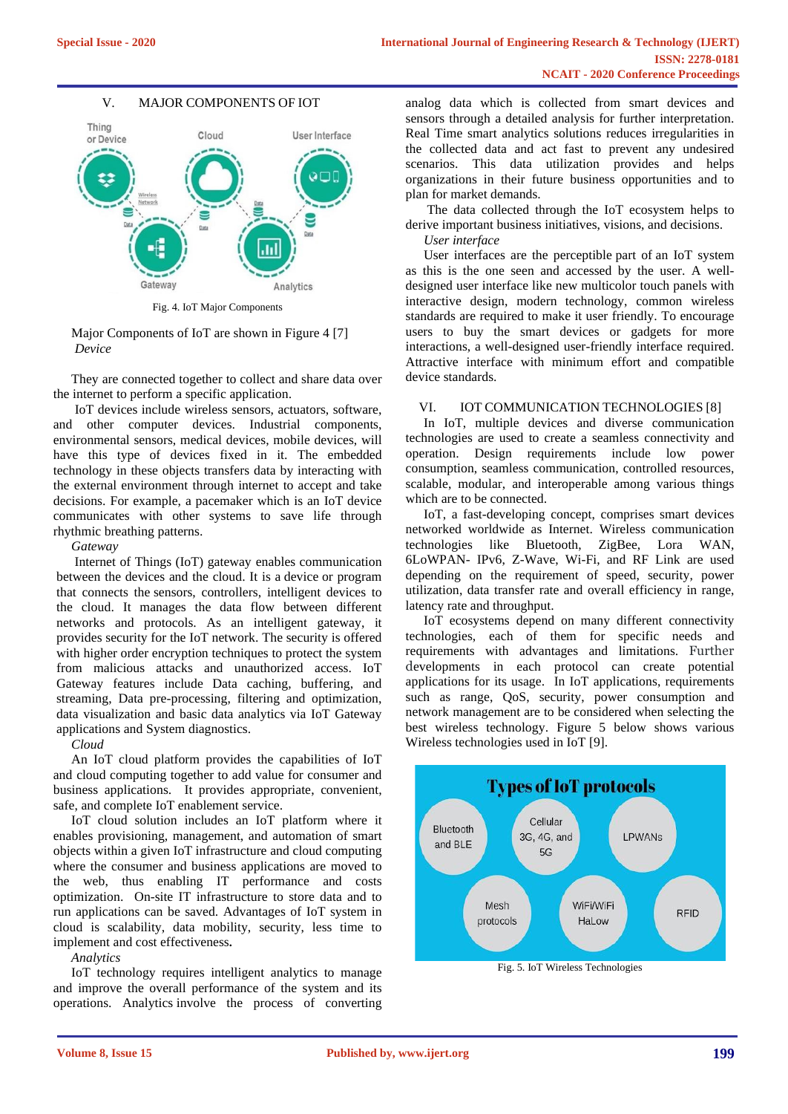# V. MAJOR COMPONENTS OF IOT



Fig. 4. IoT Major Components

Major Components of IoT are shown in Figure 4 [7] *Device*

They are connected together to collect and share data over the internet to perform a specific application.

IoT devices include wireless sensors, actuators, software, and other computer devices. Industrial components, environmental sensors, medical devices, mobile devices, will have this type of devices fixed in it. The embedded technology in these objects transfers data by interacting with the external environment through internet to accept and take decisions. For example, a pacemaker which is an IoT device communicates with other systems to save life through rhythmic breathing patterns.

*Gateway*

Internet of Things (IoT) gateway enables communication between the devices and the cloud. It is a [device](https://internetofthingsagenda.techtarget.com/definition/IoT-device) or program that connects the sensors, controllers, intelligent devices to the cloud. It manages the data flow between different networks and protocols. As an intelligent gateway, it provides security for the IoT network. The security is offered with higher order encryption techniques to protect the system from malicious attacks and unauthorized access. IoT Gateway features include Data caching, buffering, and streaming, Data pre-processing, filtering and optimization, data visualization and basic data analytics via IoT Gateway applications and System diagnostics.

*Cloud*

An IoT cloud platform provides the capabilities of IoT and cloud computing together to add value for consumer and business applications. It provides appropriate, convenient, safe, and complete IoT enablement service.

IoT cloud solution includes an IoT platform where it enables provisioning, management, and automation of smart objects within a given IoT infrastructure and cloud computing where the consumer and business applications are moved to the web, thus enabling IT performance and costs optimization. On-site IT infrastructure to store data and to run applications can be saved. Advantages of IoT system in cloud is scalability, data mobility, security, less time to implement and cost effectiveness**.**

*Analytics*

IoT technology requires intelligent analytics to manage and improve the overall performance of the system and its operations. Analytics involve the process of converting

analog data which is collected from smart devices and sensors through a detailed analysis for further interpretation. Real Time smart analytics solutions reduces irregularities in the collected data and act fast to prevent any undesired scenarios. This data utilization provides and helps organizations in their future business opportunities and to plan for market demands.

The data collected through the IoT ecosystem helps to derive important business initiatives, visions, and decisions.

*User interface*

User interfaces are the perceptible part of an IoT system as this is the one seen and accessed by the user. A welldesigned user interface like new multicolor touch panels with interactive design, modern technology, common wireless standards are required to make it user friendly. To encourage users to buy the smart devices or gadgets for more interactions, a well-designed user-friendly interface required. Attractive interface with minimum effort and compatible device standards.

## VI. IOT COMMUNICATION TECHNOLOGIES [8]

In IoT, multiple devices and diverse communication technologies are used to create a seamless connectivity and operation. Design requirements include low power consumption, seamless communication, controlled resources, scalable, modular, and interoperable among various things which are to be connected.

IoT, a fast-developing concept, comprises smart devices networked worldwide as Internet. Wireless communication technologies like Bluetooth, ZigBee, Lora WAN, 6LoWPAN- IPv6, Z-Wave, Wi-Fi, and RF Link are used depending on the requirement of speed, security, power utilization, data transfer rate and overall efficiency in range, latency rate and throughput.

IoT ecosystems depend on many different connectivity technologies, each of them for specific needs and requirements with advantages and limitations. Further developments in each protocol can create potential applications for its usage. In IoT applications, requirements such as range, QoS, security, power consumption and network management are to be considered when selecting the best wireless technology. Figure 5 below shows various Wireless technologies used in IoT [9].



Fig. 5. IoT Wireless Technologies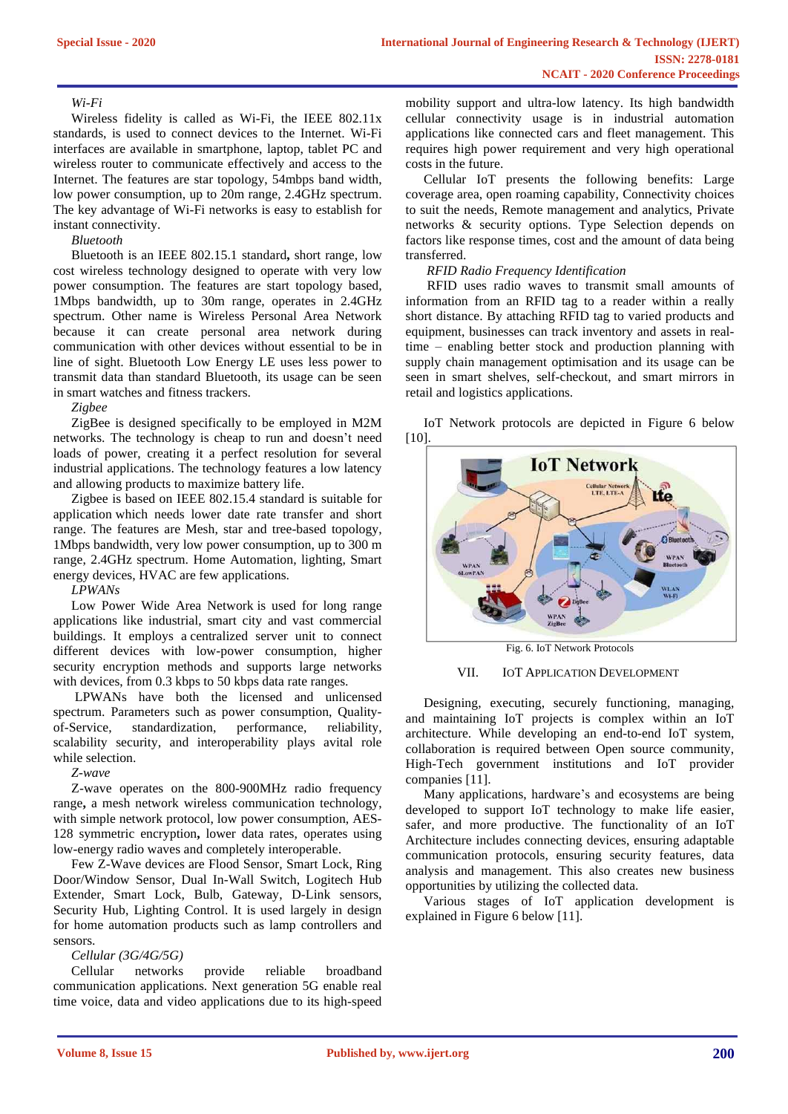## *Wi-Fi*

Wireless fidelity is called as Wi-Fi, the IEEE 802.11x standards, is used to connect devices to the Internet. Wi-Fi interfaces are available in smartphone, laptop, tablet PC and wireless router to communicate effectively and access to the Internet. The features are star topology, 54mbps band width, low power consumption, up to 20m range, 2.4GHz spectrum. The key advantage of Wi-Fi networks is easy to establish for instant connectivity.

## *Bluetooth*

Bluetooth is an IEEE 802.15.1 standard**,** short range, low cost wireless technology designed to operate with very low power consumption. The features are start topology based, 1Mbps bandwidth, up to 30m range, operates in 2.4GHz spectrum. Other name is Wireless Personal Area Network because it can create personal area network during communication with other devices without essential to be in line of sight. Bluetooth Low Energy LE uses less power to transmit data than standard Bluetooth, its usage can be seen in smart watches and fitness trackers.

*Zigbee*

ZigBee is designed specifically to be employed in M2M networks. The technology is cheap to run and doesn't need loads of power, creating it a perfect resolution for several industrial applications. The technology features a low latency and allowing products to maximize battery life.

Zigbee is based on IEEE 802.15.4 standard is suitable for application which needs lower date rate transfer and short range. The features are Mesh, star and tree-based topology, 1Mbps bandwidth, very low power consumption, up to 300 m range, 2.4GHz spectrum. Home Automation, lighting, Smart energy devices, HVAC are few applications.

*LPWANs*

Low Power Wide Area Network is used for long range applications like industrial, smart city and vast commercial buildings. It employs a centralized server unit to connect different devices with low-power consumption, higher security encryption methods and supports large networks with devices, from 0.3 kbps to 50 kbps data rate ranges.

LPWANs have both the licensed and unlicensed spectrum. Parameters such as power consumption, Qualityof-Service, [standardization,](https://behrtechnologies.com/blog/why-we-should-opt-for-industry-standard-protocols/) performance, reliability, scalability security, and interoperability plays avital role while selection.

*Z-wave*

Z-wave operates on the 800-900MHz radio frequency range**,** a mesh network wireless communication technology, with simple network protocol, low power consumption, AES-128 symmetric encryption**,** lower data rates, operates using low-energy radio waves and completely interoperable.

Few Z-Wave devices are Flood Sensor, Smart Lock, Ring Door/Window Sensor, Dual In-Wall Switch, Logitech Hub Extender, Smart Lock, Bulb, Gateway, D-Link sensors, Security Hub, Lighting Control. It is used largely in design for home automation products such as lamp controllers and sensors.

## *Cellular (3G/4G/5G)*

Cellular networks provide reliable broadband communication applications. Next generation 5G enable real time voice, data and video applications due to its high-speed

mobility support and ultra-low latency. Its high bandwidth cellular connectivity usage is in industrial automation applications like connected cars and fleet management. This requires high power requirement and very high operational costs in the future.

Cellular IoT presents the following benefits: Large coverage area, open roaming capability, Connectivity choices to suit the needs, Remote management and analytics, Private networks & security options. Type Selection depends on factors like response times, cost and the amount of data being transferred.

## *RFID Radio Frequency Identification*

RFID uses radio waves to transmit small amounts of information from an RFID tag to a reader within a really short distance. By attaching RFID tag to varied products and equipment, businesses can track inventory and assets in realtime – enabling better stock and production planning with supply chain management optimisation and its usage can be seen in smart shelves, self-checkout, and smart mirrors in retail and logistics applications.

IoT Network protocols are depicted in Figure 6 below [10].



Fig. 6. IoT Network Protocols

# VII. IOT APPLICATION DEVELOPMENT

Designing, executing, securely functioning, managing, and maintaining IoT projects is complex within an IoT architecture. While developing an end-to-end IoT system, collaboration is required between Open source community, High-Tech government institutions and IoT provider companies [11].

Many applications, hardware's and ecosystems are being developed to support IoT technology to make life easier, safer, and more productive. The functionality of an IoT Architecture includes connecting devices, ensuring adaptable communication protocols, ensuring security features, data analysis and management. This also creates new business opportunities by utilizing the collected data.

Various stages of IoT application development is explained in Figure 6 below [11].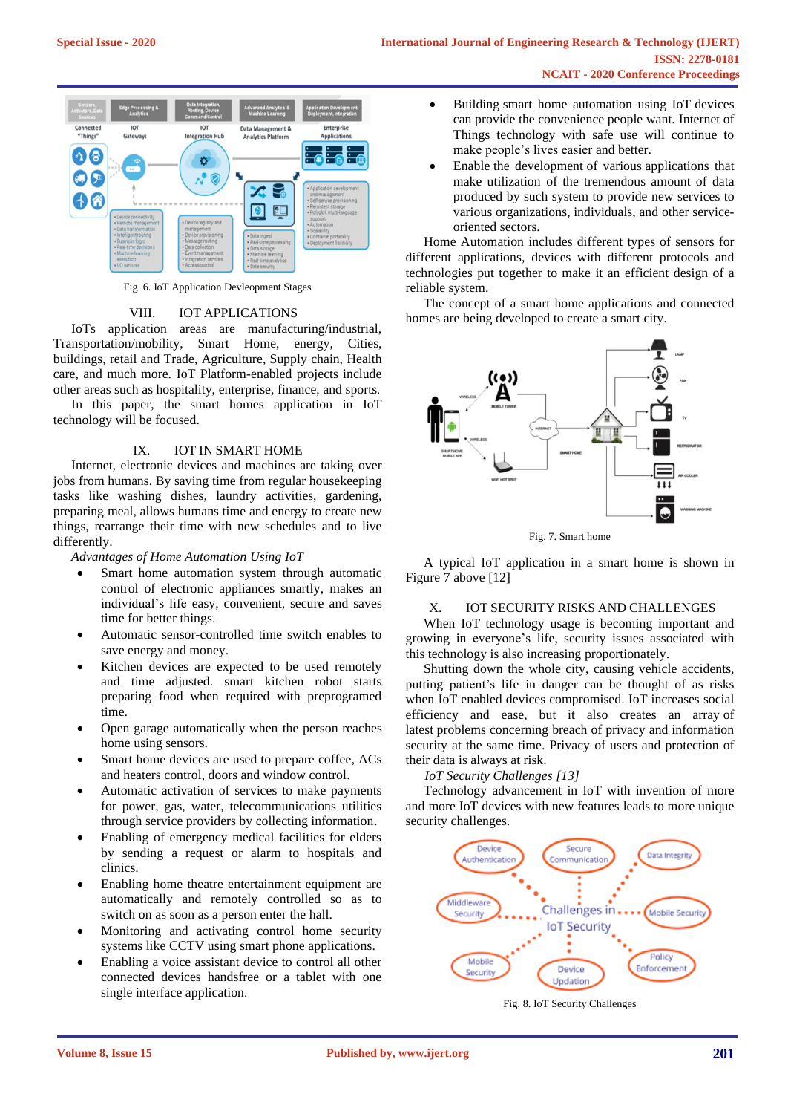

Fig. 6. IoT Application Devleopment Stages

## VIII. IOT APPLICATIONS

IoTs application areas are manufacturing/industrial, Transportation/mobility, Smart Home, energy, Cities, buildings, retail and Trade, Agriculture, Supply chain, Health care, and much more. IoT Platform-enabled projects include other areas such as hospitality, enterprise, finance, and sports.

In this paper, the smart homes application in IoT technology will be focused.

# IX. IOT IN SMART HOME

Internet, electronic devices and machines are taking over jobs from humans. By saving time from regular housekeeping tasks like washing dishes, laundry activities, gardening, preparing meal, allows humans time and energy to create new things, rearrange their time with new schedules and to live differently.

*Advantages of Home Automation Using IoT*

- Smart home automation system through automatic control of electronic appliances smartly, makes an individual's life easy, convenient, secure and saves time for better things.
- Automatic sensor-controlled time switch enables to save energy and money.
- Kitchen devices are expected to be used remotely and time adjusted. smart kitchen robot starts preparing food when required with preprogramed time.
- Open garage automatically when the person reaches home using sensors.
- Smart home devices are used to prepare coffee, ACs and heaters control, doors and window control.
- Automatic activation of services to make payments for power, gas, water, telecommunications utilities through service providers by collecting information.
- Enabling of emergency medical facilities for elders by sending a request or alarm to hospitals and clinics.
- Enabling home theatre entertainment equipment are automatically and remotely controlled so as to switch on as soon as a person enter the hall.
- Monitoring and activating control home security systems like CCTV using smart phone applications.
- Enabling a voice assistant device to control all other connected devices handsfree or a tablet with one single interface application.
- Building smart home automation using IoT devices can provide the convenience people want. Internet of Things technology with safe use will continue to make people's lives easier and better.
- Enable the development of various applications that make utilization of the tremendous amount of data produced by such system to provide new services to various organizations, individuals, and other serviceoriented sectors.

Home Automation includes different types of sensors for different applications, devices with different protocols and technologies put together to make it an efficient design of a reliable system.

The concept of a smart home applications and connected homes are being developed to create a smart city.



Fig. 7. Smart home

A typical IoT application in a smart home is shown in Figure 7 above [12]

# X. IOT SECURITY RISKS AND CHALLENGES

When IoT technology usage is becoming important and growing in everyone's life, security issues associated with this technology is also increasing proportionately.

Shutting down the whole city, causing vehicle accidents, putting patient's life in danger can be thought of as risks when IoT enabled devices compromised. IoT increases social efficiency and ease, but it also creates an array of latest problems concerning breach of privacy and information security at the same time. Privacy of users and protection of their data is always at risk.

*IoT Security Challenges [13]*

Technology advancement in IoT with invention of more and more IoT devices with new features leads to more unique security challenges.



Fig. 8. IoT Security Challenges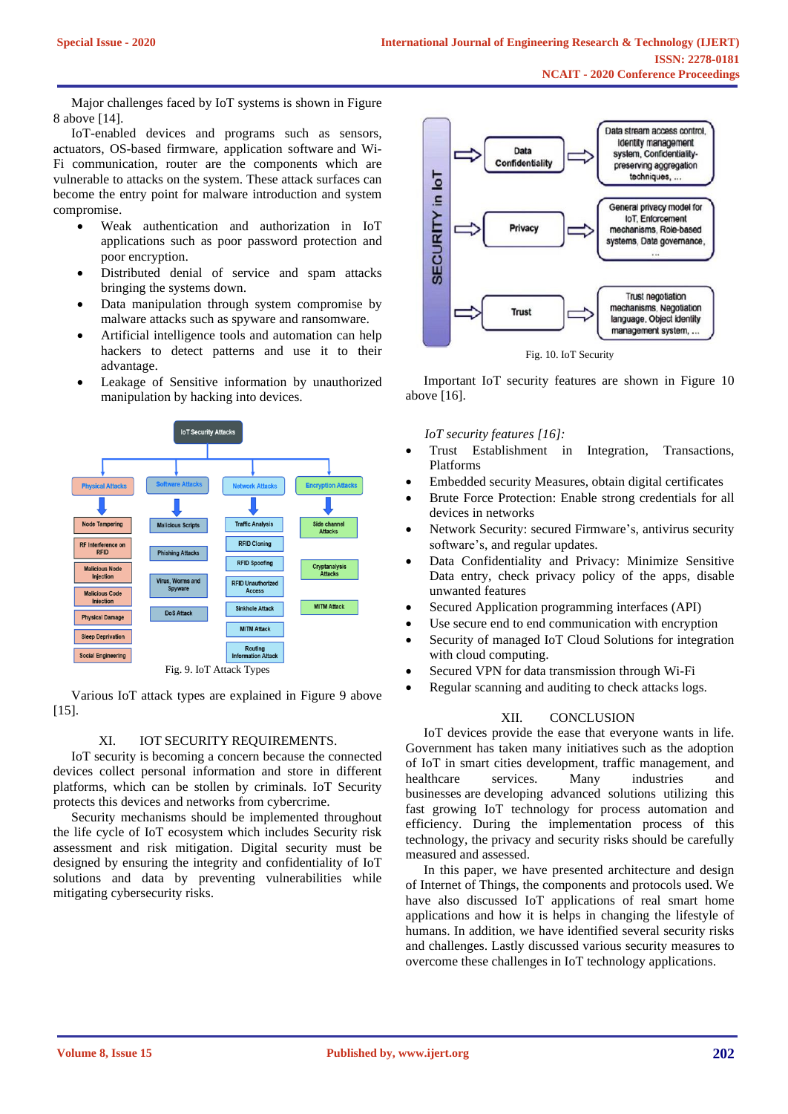Major challenges faced by IoT systems is shown in Figure 8 above [14].

IoT-enabled devices and programs such as sensors, actuators, OS-based firmware, application software and Wi-Fi communication, router are the components which are vulnerable to attacks on the system. These attack surfaces can become the entry point for malware introduction and system compromise.

- Weak authentication and authorization in IoT applications such as poor password protection and poor encryption.
- Distributed denial of service and spam attacks bringing the systems down.
- Data manipulation through system compromise by malware attacks such as spyware and ransomware.
- Artificial intelligence tools and automation can help hackers to detect patterns and use it to their advantage.
- Leakage of Sensitive information by unauthorized manipulation by hacking into devices.



Various IoT attack types are explained in Figure 9 above [15].

## XI. IOT SECURITY REQUIREMENTS.

IoT security is becoming a concern because the connected devices collect personal information and store in different platforms, which can be stollen by criminals. IoT Security protects this devices and networks from cybercrime.

Security mechanisms should be implemented throughout the life cycle of IoT ecosystem which includes Security risk assessment and risk mitigation. Digital security must be designed by ensuring the integrity and confidentiality of IoT solutions and data by preventing vulnerabilities while mitigating cybersecurity risks.



Important IoT security features are shown in Figure 10 above [16].

*IoT security features [16]:*

- Trust Establishment in Integration, Transactions, Platforms
- Embedded security Measures, obtain digital certificates
- Brute Force Protection: Enable strong credentials for all devices in networks
- Network Security: secured Firmware's, antivirus security software's, and regular updates.
- Data Confidentiality and Privacy: Minimize Sensitive Data entry, check privacy policy of the apps, disable unwanted features
- Secured Application programming interfaces (API)
- Use secure end to end communication with encryption
- Security of managed IoT Cloud Solutions for integration with cloud computing.
- Secured VPN for data transmission through Wi-Fi
- Regular scanning and auditing to check attacks logs.

# XII. CONCLUSION

IoT devices provide the ease that everyone wants in life. Government has taken many initiatives such as the adoption of IoT in smart cities development, traffic management, and healthcare services. Many industries and businesses are developing advanced solutions utilizing this fast growing IoT technology for process automation and efficiency. During the implementation process of this technology, the privacy and security risks should be carefully measured and assessed.

In this paper, we have presented architecture and design of Internet of Things, the components and protocols used. We have also discussed IoT applications of real smart home applications and how it is helps in changing the lifestyle of humans. In addition, we have identified several security risks and challenges. Lastly discussed various security measures to overcome these challenges in IoT technology applications.